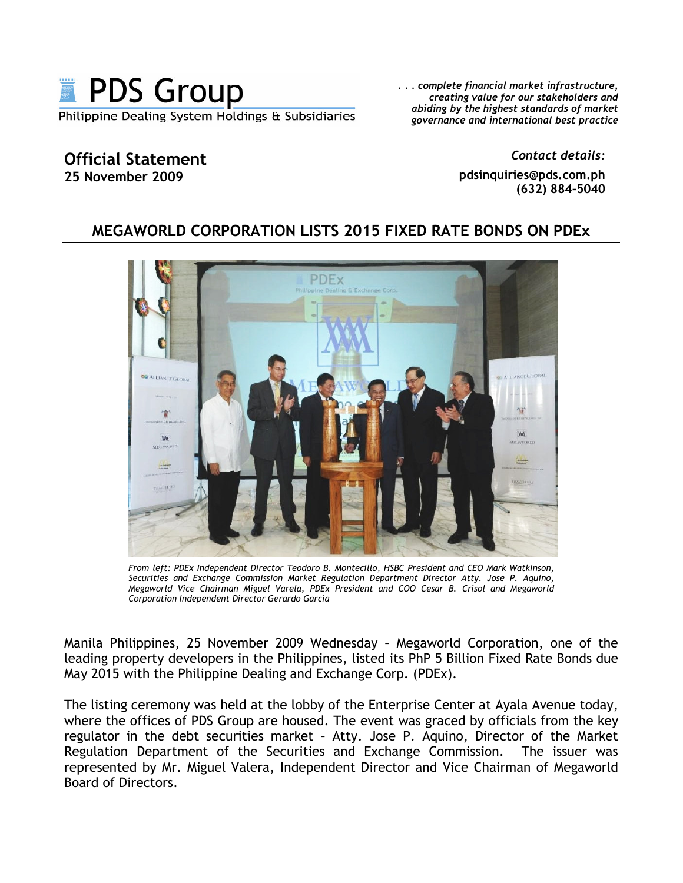

... complete financial market infrastructure, creating value for our stakeholders and abiding by the highest standards of market governance and international best practice

## **Official Statement** 25 November 2009

Contact details: pdsinquiries@pds.com.ph (632) 884-5040

## MEGAWORLD CORPORATION LISTS 2015 FIXED RATE BONDS ON PDEX



From left: PDEx Independent Director Teodoro B. Montecillo, HSBC President and CEO Mark Watkinson, Securities and Exchange Commission Market Regulation Department Director Atty. Jose P. Aquino, Megaworld Vice Chairman Miguel Varela, PDEx President and COO Cesar B. Crisol and Megaworld Corporation Independent Director Gerardo Garcia

Manila Philippines, 25 November 2009 Wednesday - Megaworld Corporation, one of the leading property developers in the Philippines, listed its PhP 5 Billion Fixed Rate Bonds due May 2015 with the Philippine Dealing and Exchange Corp. (PDEx).

The listing ceremony was held at the lobby of the Enterprise Center at Ayala Avenue today, where the offices of PDS Group are housed. The event was graced by officials from the key regulator in the debt securities market - Atty. Jose P. Aquino, Director of the Market Regulation Department of the Securities and Exchange Commission. The issuer was represented by Mr. Miguel Valera, Independent Director and Vice Chairman of Megaworld Board of Directors.